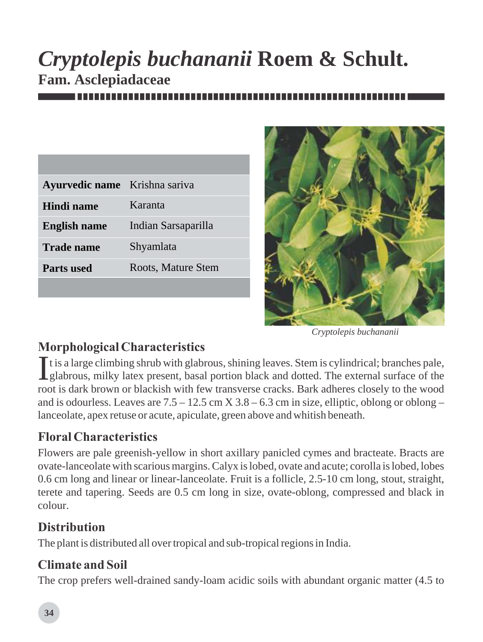# *Cryptolepis buchananii* **Roem & Schult. Fam. Asclepiadaceae**

| Ayurvedic name Krishna sariva |                     |
|-------------------------------|---------------------|
| Hindi name                    | Karanta             |
| <b>English name</b>           | Indian Sarsaparilla |
| <b>Trade name</b>             | Shyamlata           |
| <b>Parts used</b>             | Roots, Mature Stem  |
|                               |                     |



*Cryptolepis buchananii*

# *Morphological Characteristics*

It is a large climbing shrub with glabrous, shining leaves. Stem is cylindrical; branches pale, Iglabrous, milky latex present, basal portion black and dotted. The external surface of the root is dark brown or blackish with few transverse cracks. Bark adheres closely to the wood and is odourless. Leaves are  $7.5 - 12.5$  cm  $X$  3.8 – 6.3 cm in size, elliptic, oblong or oblong – lanceolate, apex retuse or acute, apiculate, green above and whitish beneath.

# *Floral Characteristics*

Flowers are pale greenish-yellow in short axillary panicled cymes and bracteate. Bracts are ovate-lanceolate with scarious margins. Calyx is lobed, ovate and acute; corolla is lobed, lobes 0.6 cm long and linear or linear-lanceolate. Fruit is a follicle, 2.5-10 cm long, stout, straight, terete and tapering. Seeds are 0.5 cm long in size, ovate-oblong, compressed and black in colour.

### *Distribution*

The plant is distributed all over tropical and sub-tropical regions in India.

### *Climate and Soil*

The crop prefers well-drained sandy-loam acidic soils with abundant organic matter (4.5 to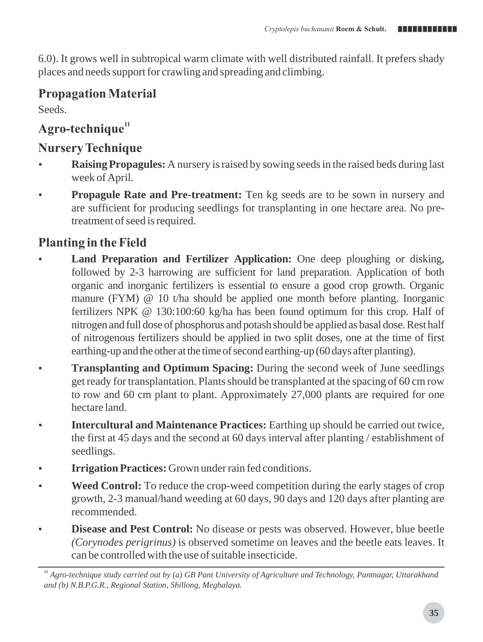6.0). It grows well in subtropical warm climate with well distributed rainfall. It prefers shady places and needs support for crawling and spreading and climbing.

### *Propagation Material*

Seeds.

# *<sup>11</sup> Agro-technique*

# *Nursery Technique*

- **Raising Propagules:** A nursery is raised by sowing seeds in the raised beds during last week of April.
- **Propagule Rate and Pre-treatment:** Ten kg seeds are to be sown in nursery and are sufficient for producing seedlings for transplanting in one hectare area. No pretreatment of seed is required.

## *Planting in the Field*

- **Land Preparation and Fertilizer Application:** One deep ploughing or disking, followed by 2-3 harrowing are sufficient for land preparation. Application of both organic and inorganic fertilizers is essential to ensure a good crop growth. Organic manure (FYM) @ 10 t/ha should be applied one month before planting. Inorganic fertilizers NPK @ 130:100:60 kg/ha has been found optimum for this crop. Half of nitrogen and full dose of phosphorus and potash should be applied as basal dose.Rest half of nitrogenous fertilizers should be applied in two split doses, one at the time of first earthing-up and the other at the time of second earthing-up (60 days after planting).
- **Transplanting and Optimum Spacing:** During the second week of June seedlings get ready for transplantation. Plants should be transplanted at the spacing of 60 cm row to row and 60 cm plant to plant. Approximately 27,000 plants are required for one hectare land.
- **Intercultural and Maintenance Practices:** Earthing up should be carried out twice, the first at 45 days and the second at 60 days interval after planting / establishment of seedlings.
- **Irrigation Practices:** Grown under rain fed conditions.
- **Weed Control:** To reduce the crop-weed competition during the early stages of crop growth, 2-3 manual/hand weeding at 60 days, 90 days and 120 days after planting are recommended.
- **Disease and Pest Control:** No disease or pests was observed. However, blue beetle *(Corynodes perigrinus)* is observed sometime on leaves and the beetle eats leaves. It can be controlled with the use of suitable insecticide.

*<sup>11</sup> Agro-technique study carried out by (a) GB Pant University of Agriculture and Technology, Pantnagar, Uttarakhand and (b) N.B.P.G.R., Regional Station, Shillong, Meghalaya.*